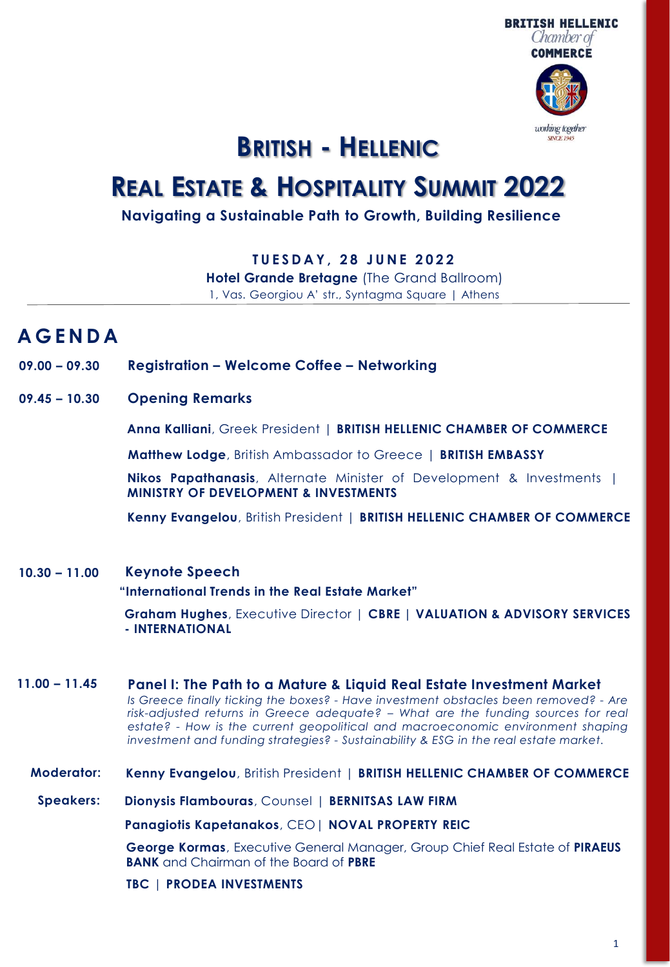

## **BRITISH - HELLENIC**

# **REAL ESTATE & HOSPITALITY SUMMIT 2022**

## **Navigating a Sustainable Path to Growth, Building Resilience**

**T U E S D A Y , 2 8 J U N E 2 0 2 2**

**Hotel Grande Bretagne** (The Grand Ballroom) 1, Vas. Georgiou A' str., Syntagma Square | Athens

## **A G E N D A**

- **09.00 – 09.30 Registration – Welcome Coffee – Networking**
- **09.45 – 10.30 Opening Remarks**

**Anna Kalliani**, Greek President | **BRITISH HELLENIC CHAMBER OF COMMERCE**

**Matthew Lodge**, British Ambassador to Greece | **BRITISH EMBASSY**

**Nikos Papathanasis**, Alternate Minister of Development & Investments | **MINISTRY OF DEVELOPMENT & INVESTMENTS**

**Kenny Evangelou**, British President | **BRITISH HELLENIC CHAMBER OF COMMERCE**

#### **Keynote Speech 10.30 – 11.00**

**"International Trends in the Real Estate Market"** 

**Graham Hughes**, Executive Director | **CBRE | VALUATION & ADVISORY SERVICES - INTERNATIONAL**

**11.00 – 11.45 Panel I: The Path to a Mature & Liquid Real Estate Investment Market** *Is Greece finally ticking the boxes? - Have investment obstacles been removed? - Are risk-adjusted returns in Greece adequate? – What are the funding sources for real estate? - How is the current geopolitical and macroeconomic environment shaping investment and funding strategies? - Sustainability & ESG in the real estate market.*

#### **Moderator: Kenny Evangelou**, British President | **BRITISH HELLENIC CHAMBER OF COMMERCE**

**Speakers: Dionysis Flambouras**, Counsel | **BERNITSAS LAW FIRM**

**Panagiotis Kapetanakos**, CEO| **NOVAL PROPERTY REIC**

**George Kormas**, Executive General Manager, Group Chief Real Estate of **PIRAEUS BANK** and Chairman of the Board of **PBRE**

**TBC** | **PRODEA INVESTMENTS**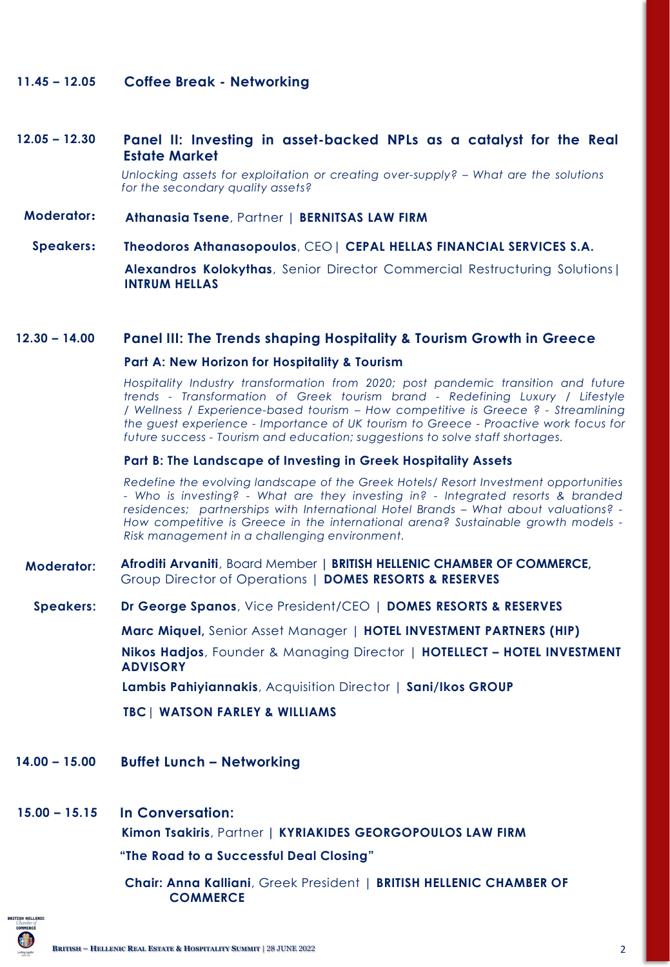#### **11.45 – 12.05 Coffee Break - Networking**

#### **Panel II: Investing in asset-backed NPLs as a catalyst for the Real Estate Market 12.05 – 12.30**

*Unlocking assets for exploitation or creating over-supply? – What are the solutions for the secondary quality assets?*

**Moderator: Athanasia Tsene**, Partner | **BERNITSAS LAW FIRM**

#### **Speakers: Theodoros Athanasopoulos**, CEO| **CEPAL HELLAS FINANCIAL SERVICES S.A.**

**Alexandros Kolokythas**, Senior Director Commercial Restructuring Solutions| **INTRUM HELLAS**

## **12.30 – 14.00 Panel III: The Trends shaping Hospitality & Tourism Growth in Greece**

## **Part A: New Horizon for Hospitality & Tourism**

*Hospitality Industry transformation from 2020; post pandemic transition and future trends - Transformation of Greek tourism brand - Redefining Luxury / Lifestyle / Wellness / Experience-based tourism – How competitive is Greece ? - Streamlining the guest experience - Importance of UK tourism to Greece - Proactive work focus for future success - Tourism and education; suggestions to solve staff shortages.*

## **Part B: The Landscape of Investing in Greek Hospitality Assets**

*Redefine the evolving landscape of the Greek Hotels/ Resort Investment opportunities - Who is investing? - What are they investing in? - Integrated resorts & branded residences; partnerships with International Hotel Brands – What about valuations? - How competitive is Greece in the international arena? Sustainable growth models - Risk management in a challenging environment.*

#### **Moderator: Afroditi Arvaniti**, Board Member **| BRITISH HELLENIC CHAMBER OF COMMERCE,**  Group Director of Operations | **DOMES RESORTS & RESERVES**

### **Speakers: Dr George Spanos**, Vice President/CEO | **DOMES RESORTS & RESERVES**

**Marc Miquel,** Senior Asset Manager | **HOTEL INVESTMENT PARTNERS (HIP)**

**Nikos Hadjos**, Founder & Managing Director | **HOTELLECT – HOTEL INVESTMENT ADVISORY**

**Lambis Pahiyiannakis**, Acquisition Director | **Sani/Ikos GROUP**

**TBC**| **WATSON FARLEY & WILLIAMS**

#### **Buffet Lunch – Networking 14.00 – 15.00**

## **15.00 – 15.15 In Conversation:**

**Kimon Tsakiris**, Partner **| KYRIAKIDES GEORGOPOULOS LAW FIRM**

## **"The Road to a Successful Deal Closing"**

**Chair: Anna Kalliani**, Greek President | **BRITISH HELLENIC CHAMBER OF COMMERCE**